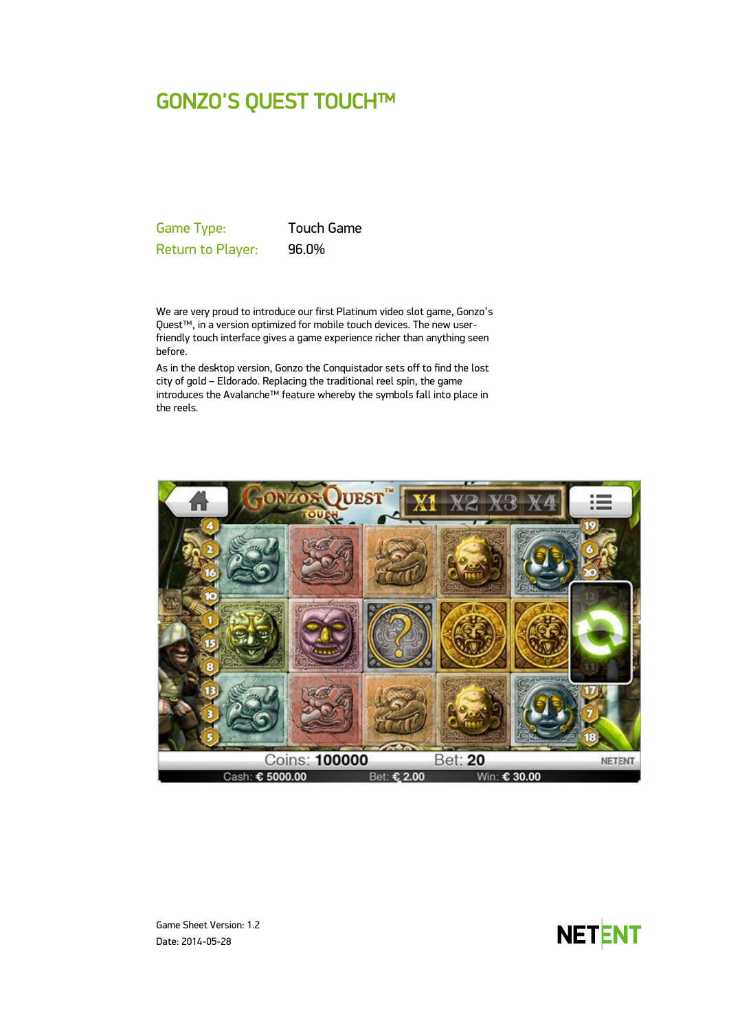# GONZO'S QUEST TOUCH™

Game Type: Touch Game Return to Player: 96.0%

We are very proud to introduce our first Platinum video slot game, Gonzo's Quest™, in a version optimized for mobile touch devices. The new userfriendly touch interface gives a game experience richer than anything seen before.

As in the desktop version, Gonzo the Conquistador sets off to find the lost city of gold – Eldorado. Replacing the traditional reel spin, the game introduces the Avalanche™ feature whereby the symbols fall into place in the reels.





Game Sheet Version: 1.2 Date: 2014-05-28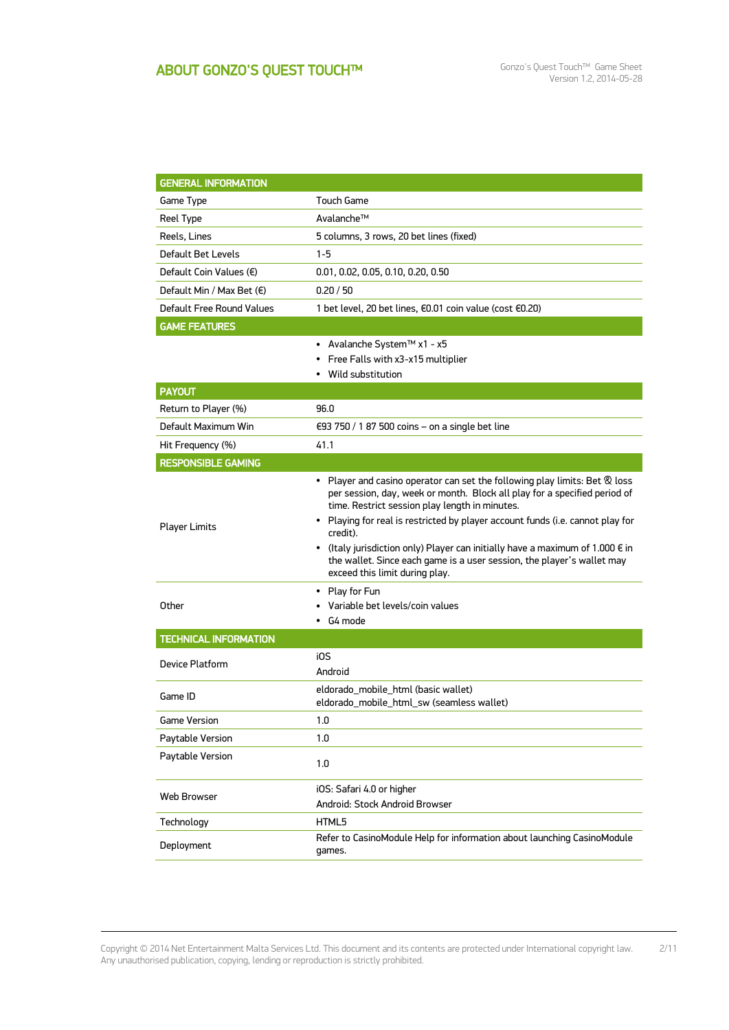| <b>GENERAL INFORMATION</b>       |                                                                                                                                                                                                                                                                                                  |  |  |  |
|----------------------------------|--------------------------------------------------------------------------------------------------------------------------------------------------------------------------------------------------------------------------------------------------------------------------------------------------|--|--|--|
| Game Type                        | Touch Game                                                                                                                                                                                                                                                                                       |  |  |  |
| Reel Type                        | Avalanche™                                                                                                                                                                                                                                                                                       |  |  |  |
| Reels, Lines                     | 5 columns, 3 rows, 20 bet lines (fixed)                                                                                                                                                                                                                                                          |  |  |  |
| Default Bet Levels               | $1 - 5$                                                                                                                                                                                                                                                                                          |  |  |  |
| Default Coin Values $(\epsilon)$ | 0.01, 0.02, 0.05, 0.10, 0.20, 0.50                                                                                                                                                                                                                                                               |  |  |  |
| Default Min / Max Bet (€)        | 0.20 / 50                                                                                                                                                                                                                                                                                        |  |  |  |
| Default Free Round Values        | 1 bet level, 20 bet lines, €0.01 coin value (cost €0.20)                                                                                                                                                                                                                                         |  |  |  |
| <b>GAME FEATURES</b>             |                                                                                                                                                                                                                                                                                                  |  |  |  |
|                                  | • Avalanche System™ x1 - x5<br>• Free Falls with x3-x15 multiplier                                                                                                                                                                                                                               |  |  |  |
|                                  | • Wild substitution                                                                                                                                                                                                                                                                              |  |  |  |
| <b>PAYOUT</b>                    |                                                                                                                                                                                                                                                                                                  |  |  |  |
| Return to Player (%)             | 96.0                                                                                                                                                                                                                                                                                             |  |  |  |
| Default Maximum Win              | €93 750 / 1 87 500 coins - on a single bet line                                                                                                                                                                                                                                                  |  |  |  |
| Hit Frequency (%)                | 41.1                                                                                                                                                                                                                                                                                             |  |  |  |
| <b>RESPONSIBLE GAMING</b>        |                                                                                                                                                                                                                                                                                                  |  |  |  |
| <b>Player Limits</b>             | • Player and casino operator can set the following play limits: Bet & loss<br>per session, day, week or month. Block all play for a specified period of<br>time. Restrict session play length in minutes.                                                                                        |  |  |  |
|                                  | • Playing for real is restricted by player account funds (i.e. cannot play for<br>credit).<br>• (Italy jurisdiction only) Player can initially have a maximum of 1.000 $\epsilon$ in<br>the wallet. Since each game is a user session, the player's wallet may<br>exceed this limit during play. |  |  |  |
| Other                            | • Play for Fun<br>Variable bet levels/coin values<br>G4 mode                                                                                                                                                                                                                                     |  |  |  |
| <b>TECHNICAL INFORMATION</b>     |                                                                                                                                                                                                                                                                                                  |  |  |  |
| Device Platform                  | i0S<br>Android                                                                                                                                                                                                                                                                                   |  |  |  |
| Game ID                          | eldorado_mobile_html (basic wallet)<br>eldorado_mobile_html_sw (seamless wallet)                                                                                                                                                                                                                 |  |  |  |
| <b>Game Version</b>              | 1.0                                                                                                                                                                                                                                                                                              |  |  |  |
| Paytable Version                 | 1.0                                                                                                                                                                                                                                                                                              |  |  |  |
| Paytable Version                 | 1.0                                                                                                                                                                                                                                                                                              |  |  |  |
| Web Browser                      | iOS: Safari 4.0 or higher<br>Android: Stock Android Browser                                                                                                                                                                                                                                      |  |  |  |
| Technology                       | HTML5                                                                                                                                                                                                                                                                                            |  |  |  |
| Deployment                       | Refer to CasinoModule Help for information about launching CasinoModule<br>games.                                                                                                                                                                                                                |  |  |  |
|                                  |                                                                                                                                                                                                                                                                                                  |  |  |  |

Copyright © 2014 Net Entertainment Malta Services Ltd. This document and its contents are protected under International copyright law. Any unauthorised publication, copying, lending or reproduction is strictly prohibited. 2/11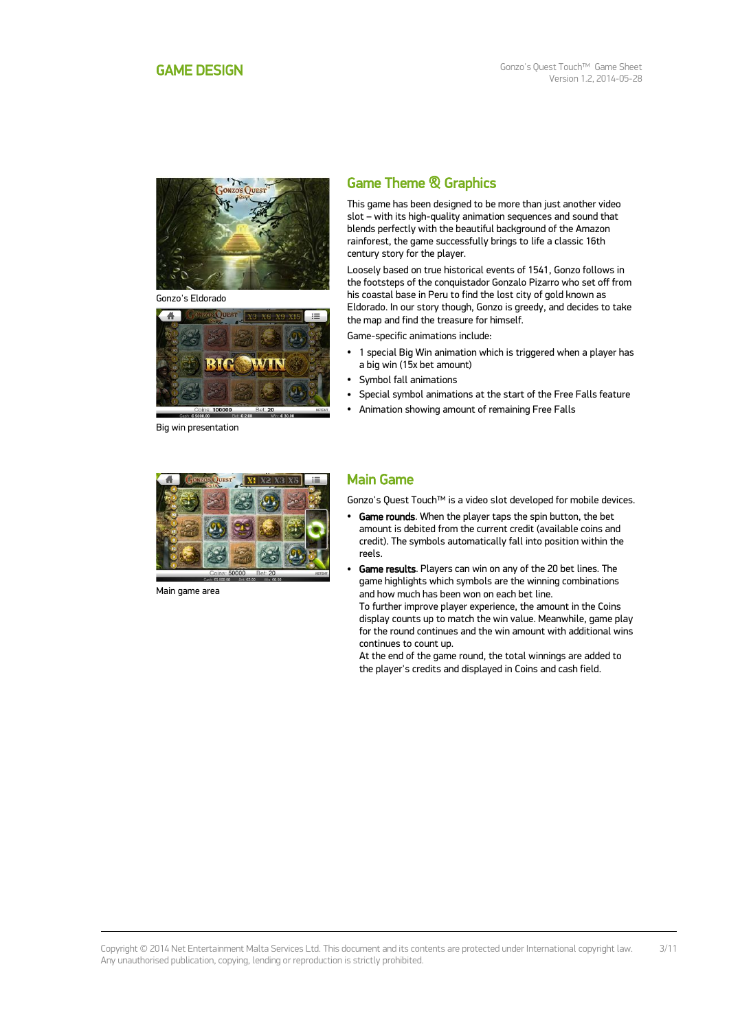<span id="page-2-0"></span>

Gonzo's Eldorado



Big win presentation

# Game Theme & Graphics

This game has been designed to be more than just another video slot – with its high-quality animation sequences and sound that blends perfectly with the beautiful background of the Amazon rainforest, the game successfully brings to life a classic 16th century story for the player.

Loosely based on true historical events of 1541, Gonzo follows in the footsteps of the conquistador Gonzalo Pizarro who set off from his coastal base in Peru to find the lost city of gold known as Eldorado. In our story though, Gonzo is greedy, and decides to take the map and find the treasure for himself.

Game-specific animations include:

- 1 special Big Win animation which is triggered when a player has a big win (15x bet amount)
- Symbol fall animations
- Special symbol animations at the start of the Free Falls feature
- Animation showing amount of remaining Free Falls



Main game area

### Main Game

Gonzo's Quest Touch™ is a video slot developed for mobile devices.

- Game rounds. When the player taps the spin button, the bet amount is debited from the current credit (available coins and credit). The symbols automatically fall into position within the reels.
- Game results. Players can win on any of the 20 bet lines. The game highlights which symbols are the winning combinations and how much has been won on each bet line.

To further improve player experience, the amount in the Coins display counts up to match the win value. Meanwhile, game play for the round continues and the win amount with additional wins continues to count up.

At the end of the game round, the total winnings are added to the player's credits and displayed in Coins and cash field.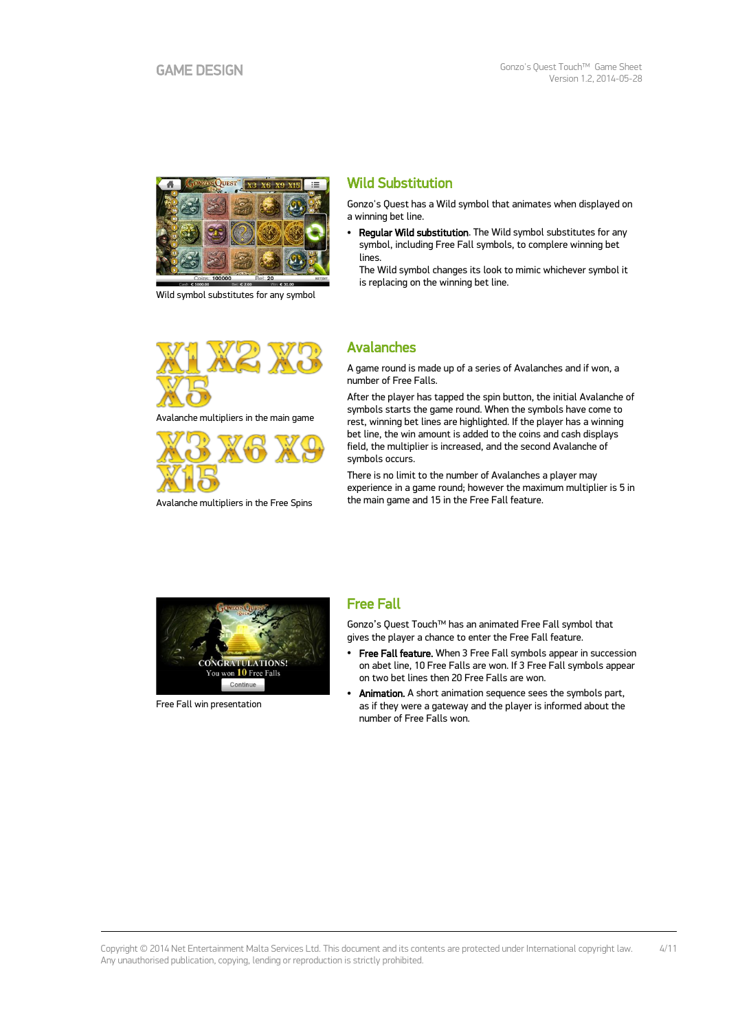

Wild symbol substitutes for any symbol



Avalanche multipliers in the main game



Avalanche multipliers in the Free Spins

# Wild Substitution

Gonzo's Quest has a Wild symbol that animates when displayed on a winning bet line.

 Regular Wild substitution. The Wild symbol substitutes for any symbol, including Free Fall symbols, to complere winning bet lines.

The Wild symbol changes its look to mimic whichever symbol it is replacing on the winning bet line.

# Avalanches

A game round is made up of a series of Avalanches and if won, a number of Free Falls.

After the player has tapped the spin button, the initial Avalanche of symbols starts the game round. When the symbols have come to rest, winning bet lines are highlighted. If the player has a winning bet line, the win amount is added to the coins and cash displays field, the multiplier is increased, and the second Avalanche of symbols occurs.

There is no limit to the number of Avalanches a player may experience in a game round; however the maximum multiplier is 5 in the main game and 15 in the Free Fall feature.



Free Fall win presentation

### Free Fall

Gonzo's Quest Touch™ has an animated Free Fall symbol that gives the player a chance to enter the Free Fall feature.

- Free Fall feature. When 3 Free Fall symbols appear in succession on abet line, 10 Free Falls are won. If 3 Free Fall symbols appear on two bet lines then 20 Free Falls are won.
- Animation. A short animation sequence sees the symbols part, as if they were a gateway and the player is informed about the number of Free Falls won.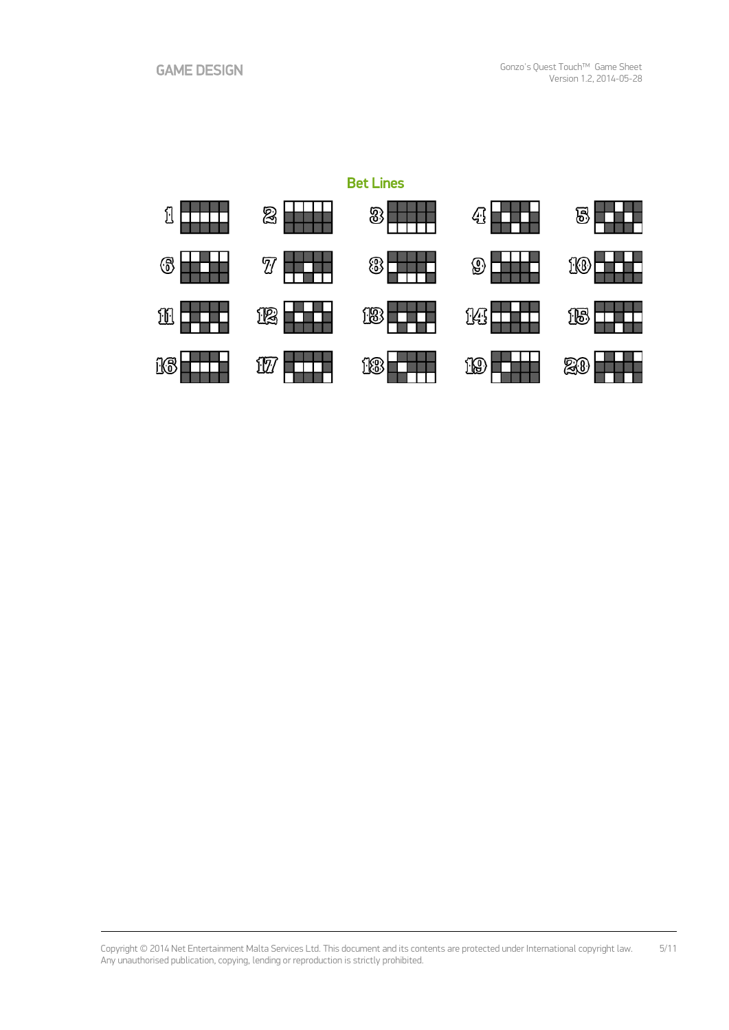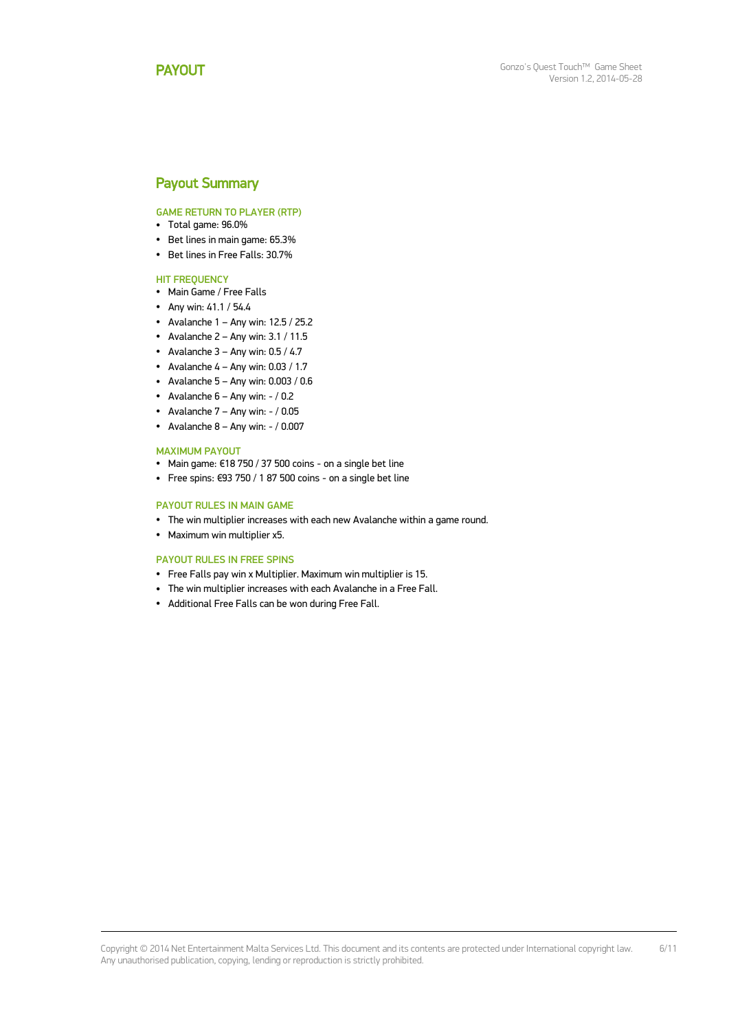## <span id="page-5-0"></span>Payout Summary

GAME RETURN TO PLAYER (RTP)

- Total game: 96.0%
- Bet lines in main game: 65.3%
- Bet lines in Free Falls: 30.7%

#### **HIT FREQUENCY**

- Main Game / Free Falls
- Any win: 41.1 / 54.4
- Avalanche 1 Any win:  $12.5 / 25.2$
- Avalanche  $2 -$  Any win:  $3.1 / 11.5$
- Avalanche  $3 -$  Any win:  $0.5 / 4.7$
- Avalanche  $4 -$  Any win: 0.03 / 1.7
- $\bullet$  Avalanche 5 Any win: 0.003 / 0.6
- Avalanche  $6 -$  Any win:  $-$  / 0.2
- Avalanche  $7 -$  Any win:  $/ 0.05$
- Avalanche  $8 -$  Any win:  $-$  / 0.007

#### MAXIMUM PAYOUT

- Main game: €18 750 / 37 500 coins on a single bet line
- Free spins: €93 750 / 1 87 500 coins on a single bet line

#### PAYOUT RULES IN MAIN GAME

- The win multiplier increases with each new Avalanche within a game round.
- Maximum win multiplier x5.

#### PAYOUT RULES IN FREE SPINS

- Free Falls pay win x Multiplier. Maximum win multiplier is 15.
- The win multiplier increases with each Avalanche in a Free Fall.
- Additional Free Falls can be won during Free Fall.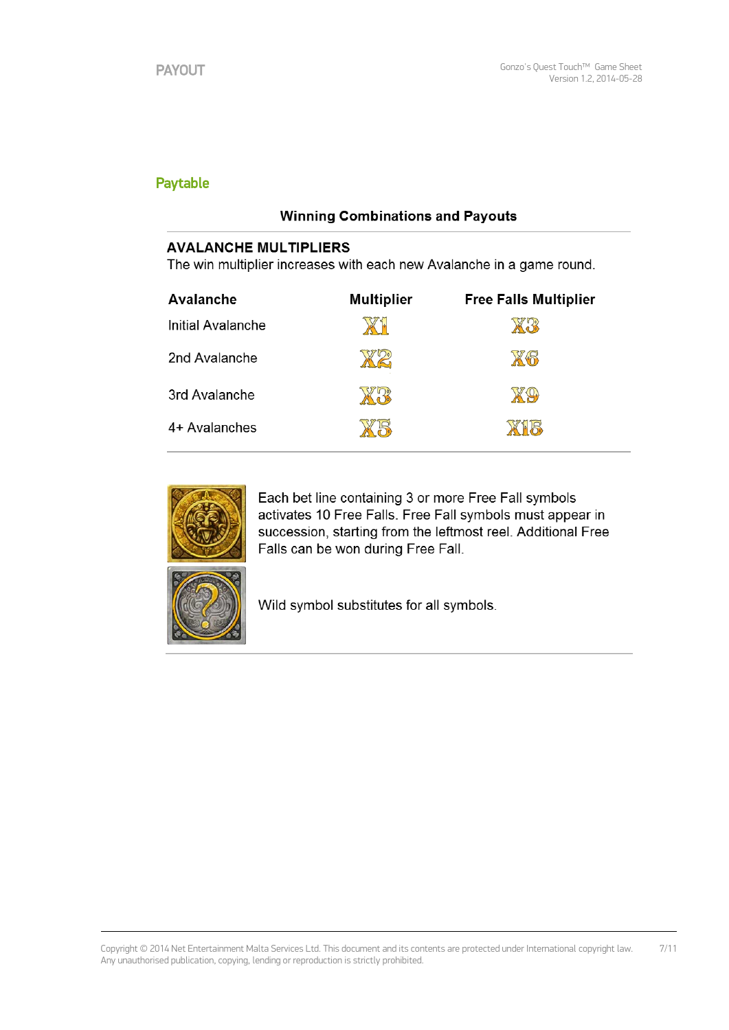# Paytable

# **Winning Combinations and Payouts**

# **AVALANCHE MULTIPLIERS**

The win multiplier increases with each new Avalanche in a game round.

| Avalanche         | <b>Multiplier</b> | <b>Free Falls Multiplier</b> |
|-------------------|-------------------|------------------------------|
| Initial Avalanche |                   |                              |
| 2nd Avalanche     |                   | XG                           |
| 3rd Avalanche     |                   |                              |
| 4+ Avalanches     |                   | L R                          |



Each bet line containing 3 or more Free Fall symbols activates 10 Free Falls. Free Fall symbols must appear in succession, starting from the leftmost reel. Additional Free Falls can be won during Free Fall.



Wild symbol substitutes for all symbols.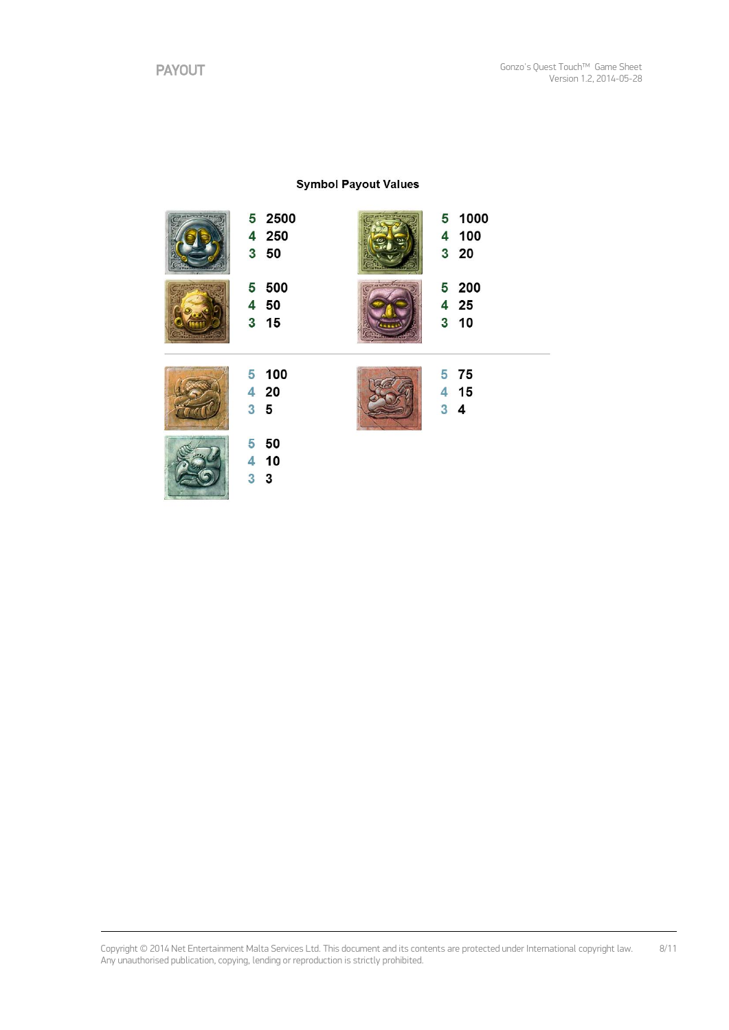### **Symbol Payout Values**



Copyright © 2014 Net Entertainment Malta Services Ltd. This document and its contents are protected under International copyright law. Any unauthorised publication, copying, lending or reproduction is strictly prohibited. 8/11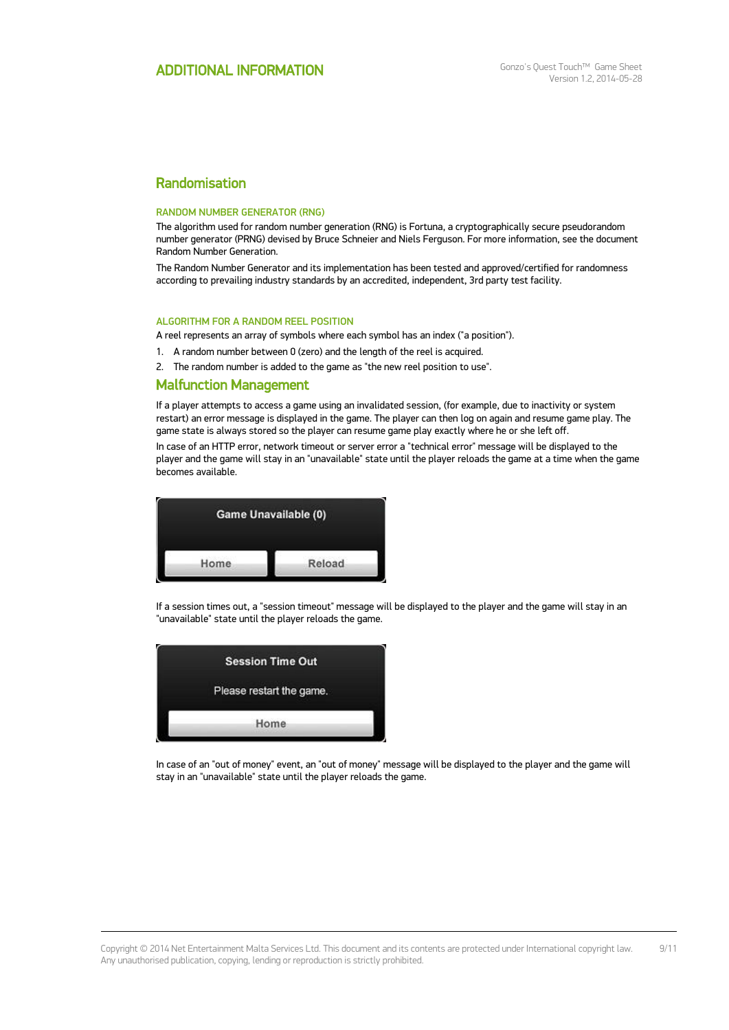# Randomisation

#### RANDOM NUMBER GENERATOR (RNG)

The algorithm used for random number generation (RNG) is Fortuna, a cryptographically secure pseudorandom number generator (PRNG) devised by Bruce Schneier and Niels Ferguson. For more information, see the document Random Number Generation.

The Random Number Generator and its implementation has been tested and approved/certified for randomness according to prevailing industry standards by an accredited, independent, 3rd party test facility.

#### ALGORITHM FOR A RANDOM REEL POSITION

A reel represents an array of symbols where each symbol has an index ("a position").

1. A random number between 0 (zero) and the length of the reel is acquired.

2. The random number is added to the game as "the new reel position to use".

#### Malfunction Management

If a player attempts to access a game using an invalidated session, (for example, due to inactivity or system restart) an error message is displayed in the game. The player can then log on again and resume game play. The game state is always stored so the player can resume game play exactly where he or she left off.

In case of an HTTP error, network timeout or server error a "technical error" message will be displayed to the player and the game will stay in an "unavailable" state until the player reloads the game at a time when the game becomes available.



If a session times out, a "session timeout" message will be displayed to the player and the game will stay in an "unavailable" state until the player reloads the game.

| <b>Session Time Out</b>  |      |  |  |
|--------------------------|------|--|--|
| Please restart the game. |      |  |  |
|                          |      |  |  |
|                          | Home |  |  |

In case of an "out of money" event, an "out of money" message will be displayed to the player and the game will stay in an "unavailable" state until the player reloads the game.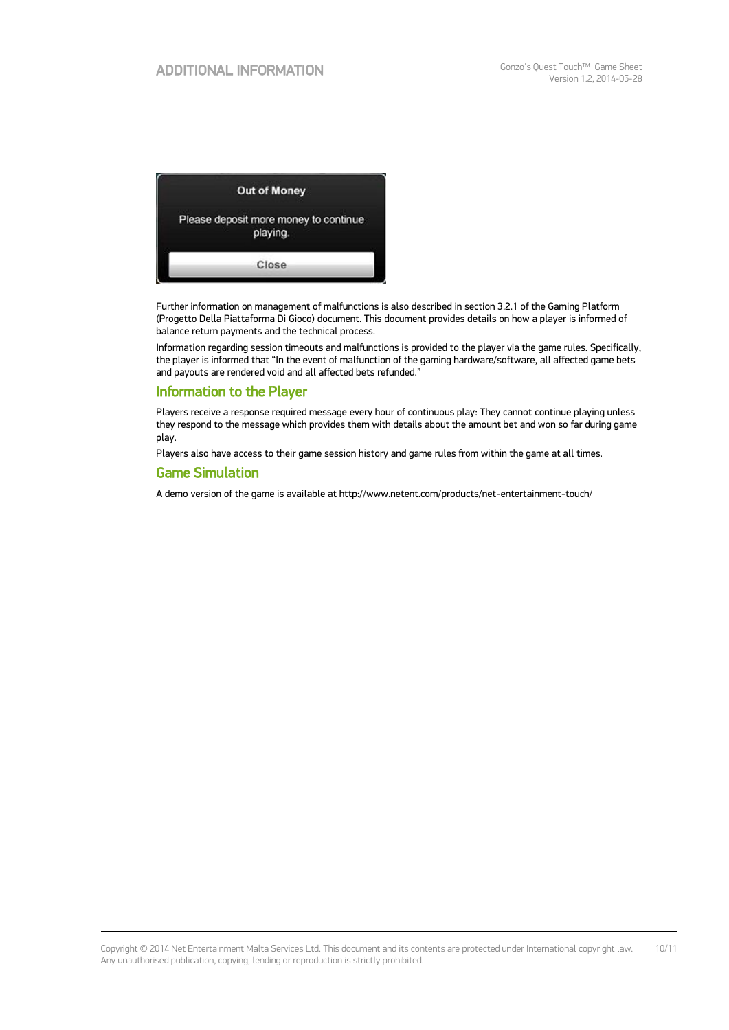

Further information on management of malfunctions is also described in section 3.2.1 of the Gaming Platform (Progetto Della Piattaforma Di Gioco) document. This document provides details on how a player is informed of balance return payments and the technical process.

Information regarding session timeouts and malfunctions is provided to the player via the game rules. Specifically, the player is informed that "In the event of malfunction of the gaming hardware/software, all affected game bets and payouts are rendered void and all affected bets refunded."

### Information to the Player

Players receive a response required message every hour of continuous play: They cannot continue playing unless they respond to the message which provides them with details about the amount bet and won so far during game play.

Players also have access to their game session history and game rules from within the game at all times.

### Game Simulation

A demo version of the game is available at http://www.netent.com/products/net-entertainment-touch/